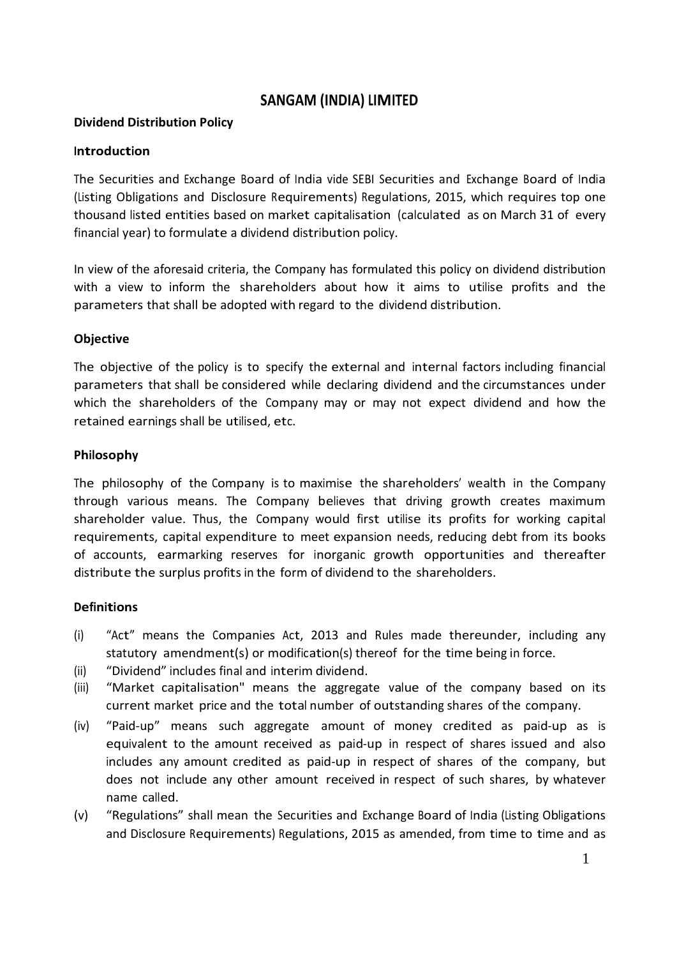# **SANGAM (INDIA) LIMITED**

### **Dividend Distribution Policy**

#### **Introduction**

The Securities and Exchange Board of India vide SEBI Securities and Exchange Board of India (Listing Obligations and Disclosure Requirements) Regulations, 2015, which requires top one thousand listed entities based on market capitalisation (calculated as on March 31 of every financial year) to formulate a dividend distribution policy.

In view of the aforesaid criteria, the Company has formulated this policy on dividend distribution with a view to inform the shareholders about how it aims to utilise profits and the parameters that shall be adopted with regard to the dividend distribution.

### **Objective**

The objective of the policy is to specify the external and internal factors including financial parameters that shall be considered while declaring dividend and the circumstances under which the shareholders of the Company may or may not expect dividend and how the retained earnings shall be utilised, etc.

### **Philosophy**

The philosophy of the Company is to maximise the shareholders' wealth in the Company through various means. The Company believes that driving growth creates maximum shareholder value. Thus, the Company would first utilise its profits for working capital requirements, capital expenditure to meet expansion needs, reducing debt from its books of accounts, earmarking reserves for inorganic growth opportunities and thereafter distribute the surplus profits in the form of dividend to the shareholders.

#### **Definitions**

- (i) "Act" means the Companies Act, 2013 and Rules made thereunder, including any statutory amendment(s) or modification(s) thereof for the time being in force.
- (ii) "Dividend" includes final and interim dividend.
- (iii) "Market capitalisation" means the aggregate value of the company based on its current market price and the total number of outstanding shares of the company.
- (iv) "Paid-up" means such aggregate amount of money credited as paid-up as is equivalent to the amount received as paid-up in respect of shares issued and also includes any amount credited as paid-up in respect of shares of the company, but does not include any other amount received in respect of such shares, by whatever name called.
- (v) "Regulations" shall mean the Securities and Exchange Board of India (Listing Obligations and Disclosure Requirements) Regulations, 2015 as amended, from time to time and as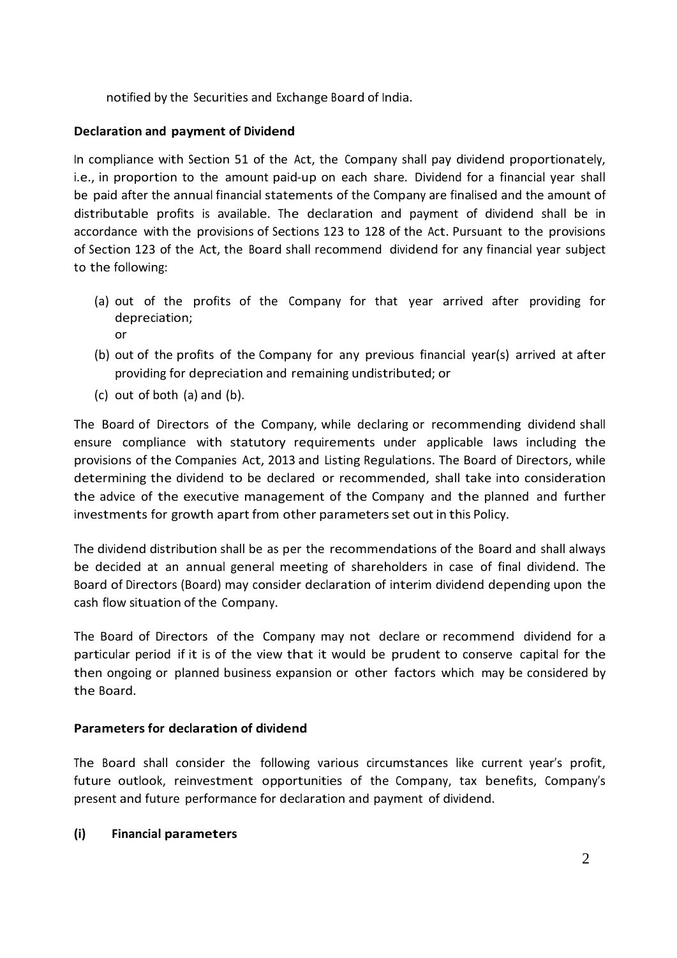notified by the Securities and Exchange Board of India.

## **Declaration and payment of Dividend**

In compliance with Section 51 of the Act, the Company shall pay dividend proportionately, i.e., in proportion to the amount paid-up on each share. Dividend for a financial year shall be paid after the annual financial statements of the Company are finalised and the amount of distributable profits is available. The declaration and payment of dividend shall be in accordance with the provisions of Sections 123 to 128 of the Act. Pursuant to the provisions of Section 123 of the Act, the Board shall recommend dividend for any financial year subject to the following:

- (a) out of the profits of the Company for that year arrived after providing for depreciation; or
- (b) out of the profits of the Company for any previous financial year(s) arrived at after providing for depreciation and remaining undistributed; or
- (c) out of both (a) and (b).

The Board of Directors of the Company, while declaring or recommending dividend shall ensure compliance with statutory requirements under applicable laws including the provisions of the Companies Act, 2013 and Listing Regulations. The Board of Directors, while determining the dividend to be declared or recommended, shall take into consideration the advice of the executive management of the Company and the planned and further investments for growth apart from other parametersset out in this Policy.

The dividend distribution shall be as per the recommendations of the Board and shallalways be decided at an annual general meeting of shareholders in case of final dividend. The Board of Directors (Board) may consider declaration of interim dividend depending upon the cash flow situation of the Company.

The Board of Directors of the Company may not declare or recommend dividend for a particular period if it is of the view that it would be prudent to conserve capital for the then ongoing or planned business expansion or other factors which may be considered by the Board.

## **Parameters for declaration of dividend**

The Board shall consider the following various circumstances like current year's profit, future outlook, reinvestment opportunities of the Company, tax benefits, Company's present and future performance for declaration and payment of dividend.

## **(i) Financial parameters**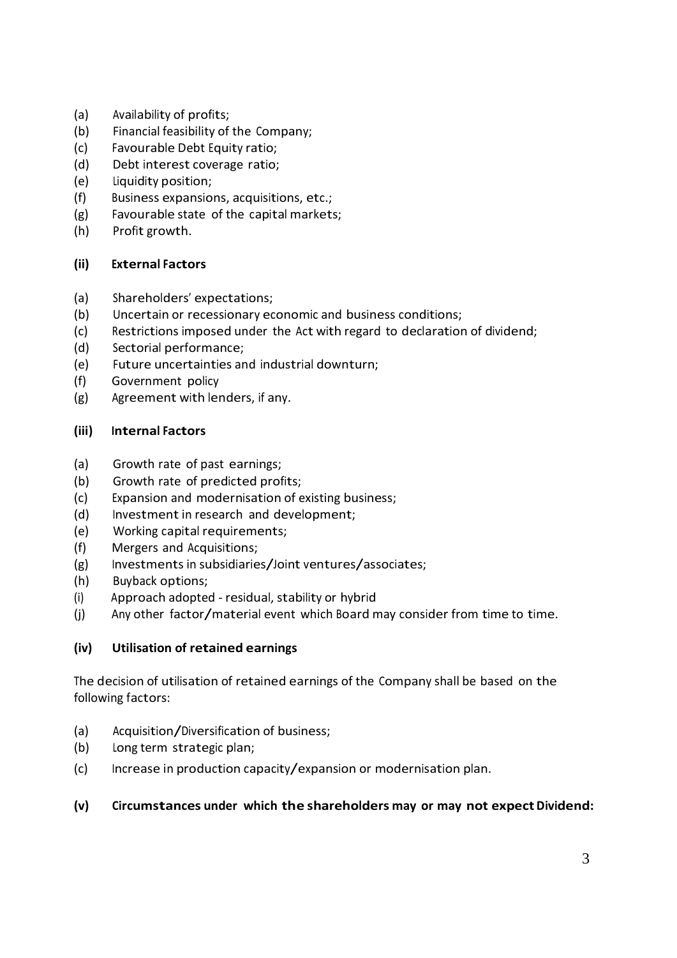- (a) Availability of profits;
- (b) Financial feasibility of the Company;
- (c) Favourable Debt Equity ratio;
- (d) Debt interest coverage ratio;
- (e) Liquidity position;
- (f) Business expansions, acquisitions, etc.;
- (g) Favourable state of the capital markets;
- (h) Profit growth.

## **(ii) External Factors**

- (a) Shareholders' expectations;
- (b) Uncertain or recessionary economic and business conditions;
- (c) Restrictions imposed under the Act with regard to declaration of dividend;
- (d) Sectorial performance;
- (e) Future uncertainties and industrial downturn;
- (f) Government policy
- (g) Agreement with lenders, if any.

## **(iii) Internal Factors**

- (a) Growth rate of past earnings;
- (b) Growth rate of predicted profits;
- (c) Expansion and modernisation of existing business;
- (d) Investment in research and development;
- (e) Working capital requirements;
- (f) Mergers and Acquisitions;
- (g) Investments in subsidiaries/Joint ventures/associates;
- (h) Buyback options;
- (i) Approach adopted residual, stability or hybrid
- (j) Any other factor/material event which Board may consider from time to time.

# **(iv) Utilisation of retained earnings**

The decision of utilisation of retained earnings of the Company shall be based on the following factors:

- (a) Acquisition/Diversification of business;
- (b) Long term strategic plan;
- (c) Increase in production capacity/expansion or modernisation plan.

## **(v) Circumstances under which the shareholders may or may not expectDividend:**